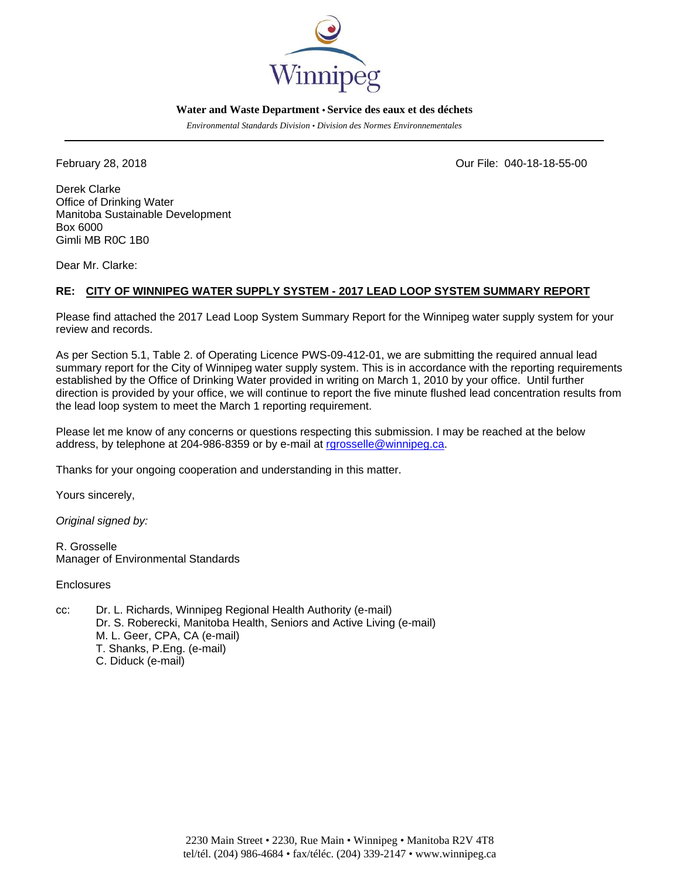

## **Water and Waste Department • Service des eaux et des déchets**

*Environmental Standards Division • Division des Normes Environnementales* 

February 28, 2018 Our File: 040-18-18-55-00

Derek Clarke Office of Drinking Water Manitoba Sustainable Development Box 6000 Gimli MB R0C 1B0

Dear Mr. Clarke:

## **RE: CITY OF WINNIPEG WATER SUPPLY SYSTEM - 2017 LEAD LOOP SYSTEM SUMMARY REPORT**

Please find attached the 2017 Lead Loop System Summary Report for the Winnipeg water supply system for your review and records.

As per Section 5.1, Table 2. of Operating Licence PWS-09-412-01, we are submitting the required annual lead summary report for the City of Winnipeg water supply system. This is in accordance with the reporting requirements established by the Office of Drinking Water provided in writing on March 1, 2010 by your office. Until further direction is provided by your office, we will continue to report the five minute flushed lead concentration results from the lead loop system to meet the March 1 reporting requirement.

Please let me know of any concerns or questions respecting this submission. I may be reached at the below address, by telephone at 204-986-8359 or by e-mail at rgrosselle@winnipeg.ca.

Thanks for your ongoing cooperation and understanding in this matter.

Yours sincerely,

*Original signed by:* 

R. Grosselle Manager of Environmental Standards

**Enclosures** 

cc: Dr. L. Richards, Winnipeg Regional Health Authority (e-mail) Dr. S. Roberecki, Manitoba Health, Seniors and Active Living (e-mail) M. L. Geer, CPA, CA (e-mail) T. Shanks, P.Eng. (e-mail) C. Diduck (e-mail)